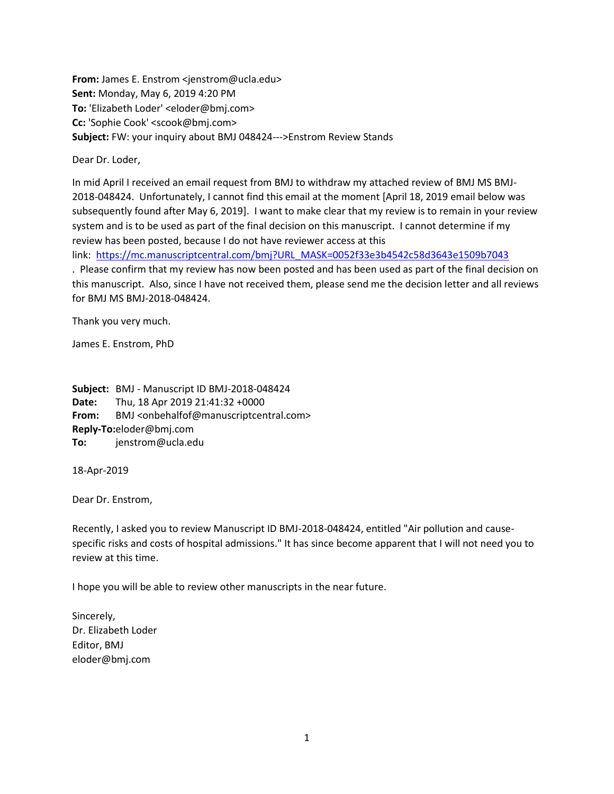**From:** James E. Enstrom <jenstrom@ucla.edu> **Sent:** Monday, May 6, 2019 4:20 PM **To:** 'Elizabeth Loder' <eloder@bmj.com> **Cc:** 'Sophie Cook' <scook@bmj.com> **Subject:** FW: your inquiry about BMJ 048424--->Enstrom Review Stands

Dear Dr. Loder,

In mid April I received an email request from BMJ to withdraw my attached review of BMJ MS BMJ-2018-048424. Unfortunately, I cannot find this email at the moment [April 18, 2019 email below was subsequently found after May 6, 2019]. I want to make clear that my review is to remain in your review system and is to be used as part of the final decision on this manuscript. I cannot determine if my review has been posted, because I do not have reviewer access at this

link: [https://mc.manuscriptcentral.com/bmj?URL\\_MASK=0052f33e3b4542c58d3643e1509b7043](https://mc.manuscriptcentral.com/bmj?URL_MASK=0052f33e3b4542c58d3643e1509b7043)

. Please confirm that my review has now been posted and has been used as part of the final decision on this manuscript. Also, since I have not received them, please send me the decision letter and all reviews for BMJ MS BMJ-2018-048424.

Thank you very much.

James E. Enstrom, PhD

**Subject:** BMJ - Manuscript ID BMJ-2018-048424 **Date:** Thu, 18 Apr 2019 21:41:32 +0000 From: BMJ <onbehalfof@manuscriptcentral.com> **Reply-To:** eloder@bmj.com **To:** jenstrom@ucla.edu

18-Apr-2019

Dear Dr. Enstrom,

Recently, I asked you to review Manuscript ID BMJ-2018-048424, entitled "Air pollution and causespecific risks and costs of hospital admissions." It has since become apparent that I will not need you to review at this time.

I hope you will be able to review other manuscripts in the near future.

Sincerely, Dr. Elizabeth Loder Editor, BMJ eloder@bmj.com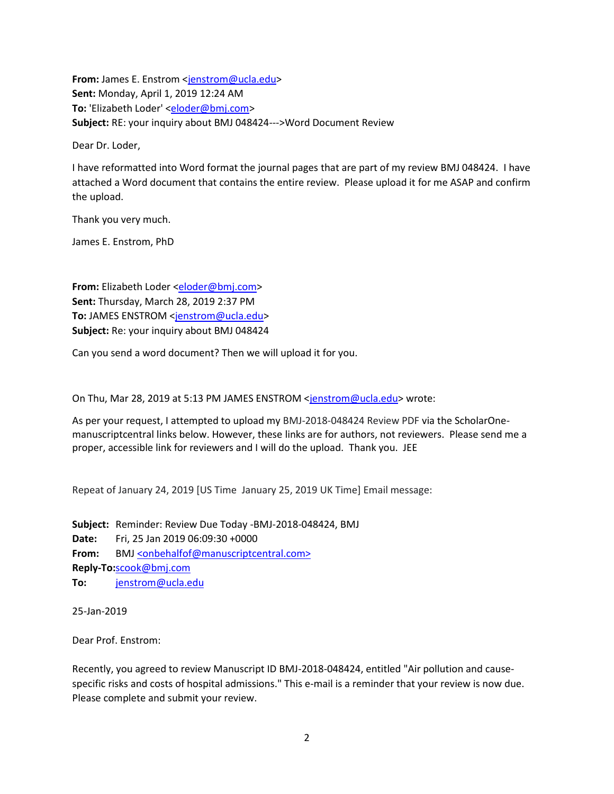**From:** James E. Enstrom [<jenstrom@ucla.edu>](mailto:jenstrom@ucla.edu) **Sent:** Monday, April 1, 2019 12:24 AM **To:** 'Elizabeth Loder' [<eloder@bmj.com>](mailto:eloder@bmj.com) **Subject:** RE: your inquiry about BMJ 048424--->Word Document Review

Dear Dr. Loder,

I have reformatted into Word format the journal pages that are part of my review BMJ 048424. I have attached a Word document that contains the entire review. Please upload it for me ASAP and confirm the upload.

Thank you very much.

James E. Enstrom, PhD

**From:** Elizabeth Loder [<eloder@bmj.com>](mailto:eloder@bmj.com) **Sent:** Thursday, March 28, 2019 2:37 PM To: JAMES ENSTROM [<jenstrom@ucla.edu>](mailto:jenstrom@ucla.edu) **Subject:** Re: your inquiry about BMJ 048424

Can you send a word document? Then we will upload it for you.

On Thu, Mar 28, 2019 at 5:13 PM JAMES ENSTROM [<jenstrom@ucla.edu>](mailto:jenstrom@ucla.edu) wrote:

As per your request, I attempted to upload my BMJ-2018-048424 Review PDF via the ScholarOnemanuscriptcentral links below. However, these links are for authors, not reviewers. Please send me a proper, accessible link for reviewers and I will do the upload. Thank you. JEE

Repeat of January 24, 2019 [US Time January 25, 2019 UK Time] Email message:

**Subject:** Reminder: Review Due Today -BMJ-2018-048424, BMJ **Date:** Fri, 25 Jan 2019 06:09:30 +0000 From: BM[J <onbehalfof@manuscriptcentral.com>](mailto:onbehalfof@manuscriptcentral.com) **Reply-To:** [scook@bmj.com](mailto:scook@bmj.com) **To:** [jenstrom@ucla.edu](mailto:jenstrom@ucla.edu)

25-Jan-2019

Dear Prof. Enstrom:

Recently, you agreed to review Manuscript ID BMJ-2018-048424, entitled "Air pollution and causespecific risks and costs of hospital admissions." This e-mail is a reminder that your review is now due. Please complete and submit your review.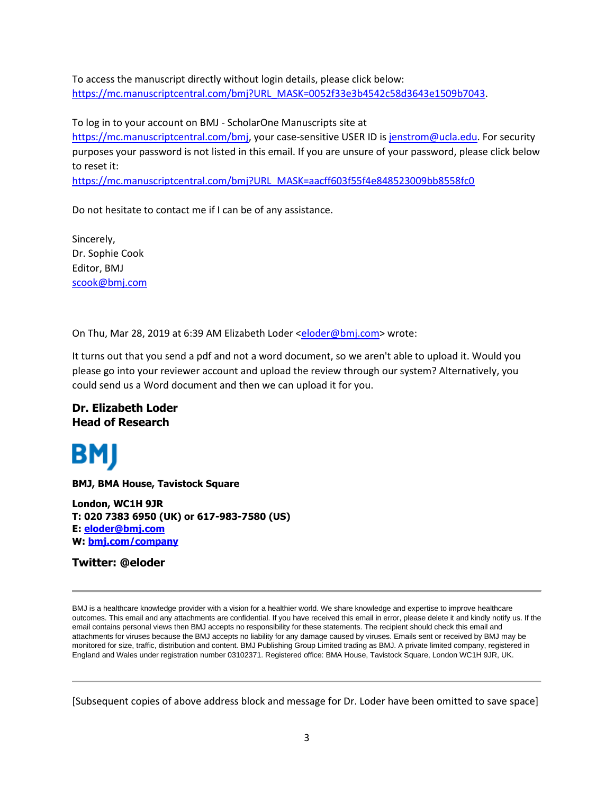To access the manuscript directly without login details, please click below: [https://mc.manuscriptcentral.com/bmj?URL\\_MASK=0052f33e3b4542c58d3643e1509b7043.](https://mc.manuscriptcentral.com/bmj?URL_MASK=0052f33e3b4542c58d3643e1509b7043)

To log in to your account on BMJ - ScholarOne Manuscripts site at [https://mc.manuscriptcentral.com/bmj,](https://mc.manuscriptcentral.com/bmj) your case-sensitive USER ID is [jenstrom@ucla.edu.](mailto:jenstrom@ucla.edu) For security purposes your password is not listed in this email. If you are unsure of your password, please click below to reset it: [https://mc.manuscriptcentral.com/bmj?URL\\_MASK=aacff603f55f4e848523009bb8558fc0](https://mc.manuscriptcentral.com/bmj?URL_MASK=aacff603f55f4e848523009bb8558fc0)

Do not hesitate to contact me if I can be of any assistance.

Sincerely, Dr. Sophie Cook Editor, BMJ [scook@bmj.com](mailto:scook@bmj.com)

On Thu, Mar 28, 2019 at 6:39 AM Elizabeth Loder [<eloder@bmj.com>](mailto:eloder@bmj.com) wrote:

It turns out that you send a pdf and not a word document, so we aren't able to upload it. Would you please go into your reviewer account and upload the review through our system? Alternatively, you could send us a Word document and then we can upload it for you.

## **Dr. Elizabeth Loder Head of Research**



**BMJ, BMA House, Tavistock Square**

**London, WC1H 9JR T: 020 7383 6950 (UK) or 617-983-7580 (US) E: [eloder@bmj.com](mailto:eloder@bmj.com) W: [bmj.com/company](http://bmj.com/company)**

**Twitter: @eloder**

BMJ is a healthcare knowledge provider with a vision for a healthier world. We share knowledge and expertise to improve healthcare outcomes. This email and any attachments are confidential. If you have received this email in error, please delete it and kindly notify us. If the email contains personal views then BMJ accepts no responsibility for these statements. The recipient should check this email and attachments for viruses because the BMJ accepts no liability for any damage caused by viruses. Emails sent or received by BMJ may be monitored for size, traffic, distribution and content. BMJ Publishing Group Limited trading as BMJ. A private limited company, registered in England and Wales under registration number 03102371. Registered office: BMA House, Tavistock Square, London WC1H 9JR, UK.

[Subsequent copies of above address block and message for Dr. Loder have been omitted to save space]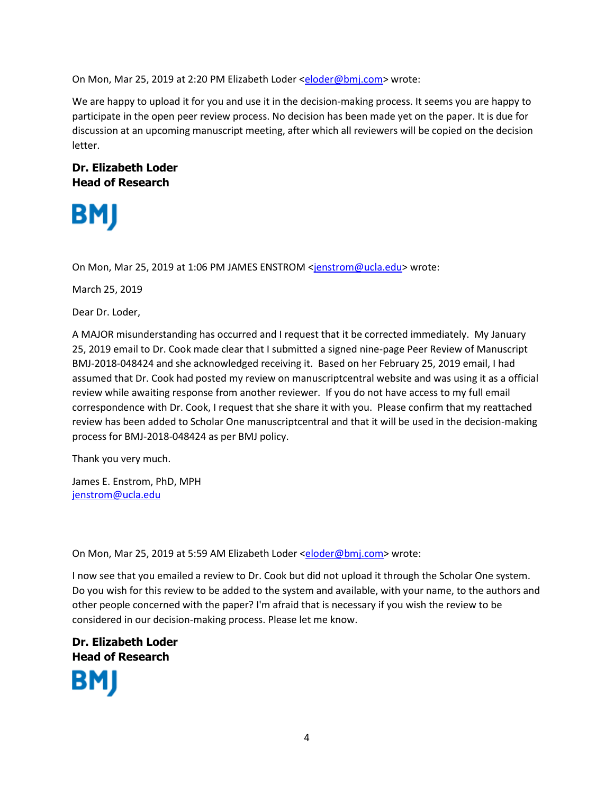On Mon, Mar 25, 2019 at 2:20 PM Elizabeth Loder [<eloder@bmj.com>](mailto:eloder@bmj.com) wrote:

We are happy to upload it for you and use it in the decision-making process. It seems you are happy to participate in the open peer review process. No decision has been made yet on the paper. It is due for discussion at an upcoming manuscript meeting, after which all reviewers will be copied on the decision letter.

## **Dr. Elizabeth Loder Head of Research**



On Mon, Mar 25, 2019 at 1:06 PM JAMES ENSTROM [<jenstrom@ucla.edu>](mailto:jenstrom@ucla.edu) wrote:

March 25, 2019

Dear Dr. Loder,

A MAJOR misunderstanding has occurred and I request that it be corrected immediately. My January 25, 2019 email to Dr. Cook made clear that I submitted a signed nine-page Peer Review of Manuscript BMJ-2018-048424 and she acknowledged receiving it. Based on her February 25, 2019 email, I had assumed that Dr. Cook had posted my review on manuscriptcentral website and was using it as a official review while awaiting response from another reviewer. If you do not have access to my full email correspondence with Dr. Cook, I request that she share it with you. Please confirm that my reattached review has been added to Scholar One manuscriptcentral and that it will be used in the decision-making process for BMJ-2018-048424 as per BMJ policy.

Thank you very much.

James E. Enstrom, PhD, MPH [jenstrom@ucla.edu](mailto:jenstrom@ucla.edu)

On Mon, Mar 25, 2019 at 5:59 AM Elizabeth Loder [<eloder@bmj.com>](mailto:eloder@bmj.com) wrote:

I now see that you emailed a review to Dr. Cook but did not upload it through the Scholar One system. Do you wish for this review to be added to the system and available, with your name, to the authors and other people concerned with the paper? I'm afraid that is necessary if you wish the review to be considered in our decision-making process. Please let me know.

**Dr. Elizabeth Loder Head of Research**BМ

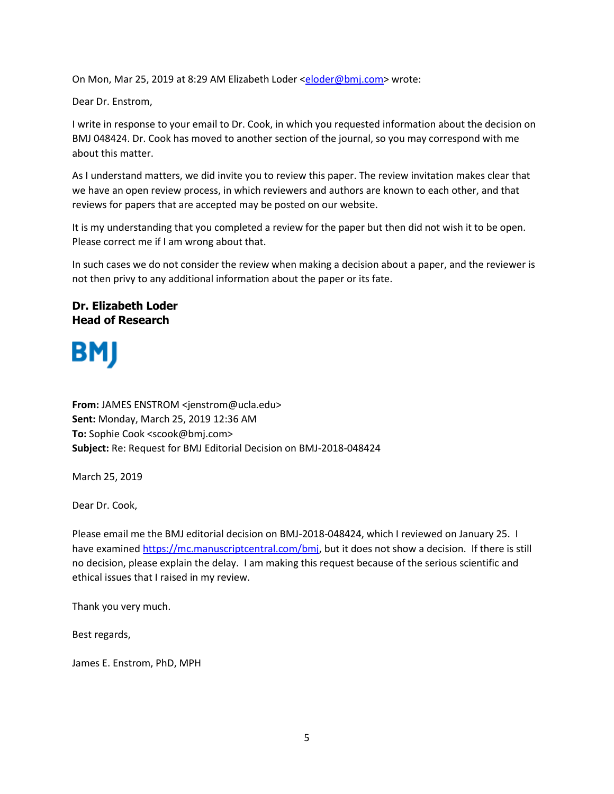On Mon, Mar 25, 2019 at 8:29 AM Elizabeth Loder [<eloder@bmj.com>](mailto:eloder@bmj.com) wrote:

Dear Dr. Enstrom,

I write in response to your email to Dr. Cook, in which you requested information about the decision on BMJ 048424. Dr. Cook has moved to another section of the journal, so you may correspond with me about this matter.

As I understand matters, we did invite you to review this paper. The review invitation makes clear that we have an open review process, in which reviewers and authors are known to each other, and that reviews for papers that are accepted may be posted on our website.

It is my understanding that you completed a review for the paper but then did not wish it to be open. Please correct me if I am wrong about that.

In such cases we do not consider the review when making a decision about a paper, and the reviewer is not then privy to any additional information about the paper or its fate.

## **Dr. Elizabeth Loder Head of Research**

## **BMJ**

**From:** JAMES ENSTROM <jenstrom@ucla.edu> **Sent:** Monday, March 25, 2019 12:36 AM **To:** Sophie Cook <scook@bmj.com> **Subject:** Re: Request for BMJ Editorial Decision on BMJ-2018-048424

March 25, 2019

Dear Dr. Cook,

Please email me the BMJ editorial decision on BMJ-2018-048424, which I reviewed on January 25. I have examined [https://mc.manuscriptcentral.com/bmj,](https://mc.manuscriptcentral.com/bmj) but it does not show a decision. If there is still no decision, please explain the delay. I am making this request because of the serious scientific and ethical issues that I raised in my review.

Thank you very much.

Best regards,

James E. Enstrom, PhD, MPH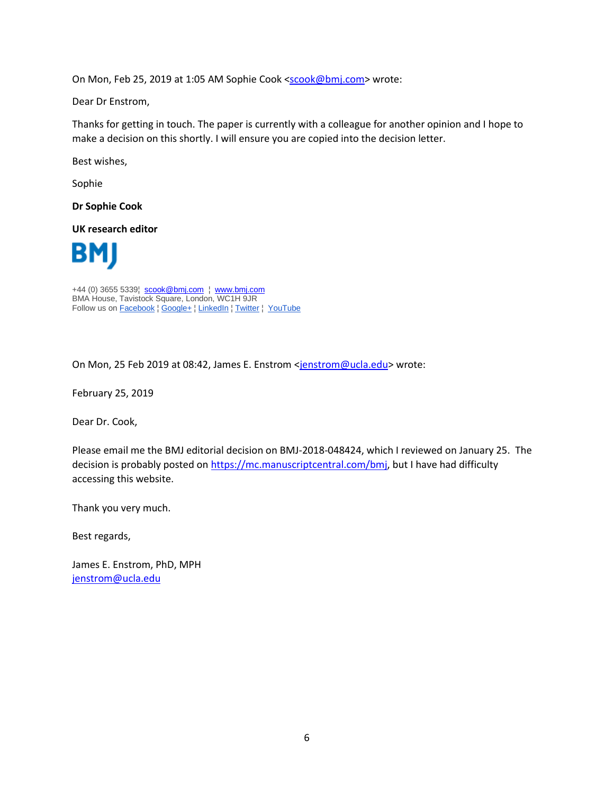On Mon, Feb 25, 2019 at 1:05 AM Sophie Cook [<scook@bmj.com>](mailto:scook@bmj.com) wrote:

Dear Dr Enstrom,

Thanks for getting in touch. The paper is currently with a colleague for another opinion and I hope to make a decision on this shortly. I will ensure you are copied into the decision letter.

Best wishes,

Sophie

**Dr Sophie Cook**

**UK research editor**



+44 (0) 3655 5339¦ [scook@bmj.com](mailto:scook@bmj.com) ¦ [w](http://bmj.com/company)[ww.bmj.com](http://ww.bmj.com/) BMA House, Tavistock Square, London, WC1H 9JR Follow us o[n Facebook](https://www.facebook.com/bmjcompany/) | [Google+](https://plus.google.com/u/0/b/116518064163268793382/+BMJCompany/about) | [LinkedIn](https://www.linkedin.com/company/bmj-group?trk=company_logo) | Twitter | [YouTube](https://www.youtube.com/user/BMJCompany)

On Mon, 25 Feb 2019 at 08:42, James E. Enstrom [<jenstrom@ucla.edu>](mailto:jenstrom@ucla.edu) wrote:

February 25, 2019

Dear Dr. Cook,

Please email me the BMJ editorial decision on BMJ-2018-048424, which I reviewed on January 25. The decision is probably posted on [https://mc.manuscriptcentral.com/bmj,](https://mc.manuscriptcentral.com/bmj) but I have had difficulty accessing this website.

Thank you very much.

Best regards,

James E. Enstrom, PhD, MPH [jenstrom@ucla.edu](mailto:jenstrom@ucla.edu)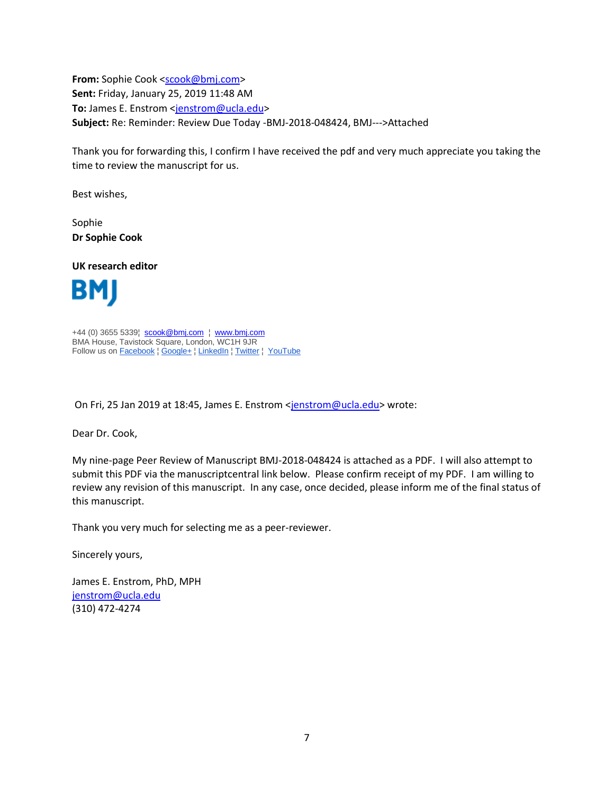**From:** Sophie Cook [<scook@bmj.com>](mailto:scook@bmj.com) **Sent:** Friday, January 25, 2019 11:48 AM To: James E. Enstrom [<jenstrom@ucla.edu>](mailto:jenstrom@ucla.edu) **Subject:** Re: Reminder: Review Due Today -BMJ-2018-048424, BMJ--->Attached

Thank you for forwarding this, I confirm I have received the pdf and very much appreciate you taking the time to review the manuscript for us.

Best wishes,

Sophie **Dr Sophie Cook**

**UK research editor**



+44 (0) 3655 5339¦ [scook@bmj.com](mailto:scook@bmj.com) ¦ [w](http://bmj.com/company)[ww.bmj.com](http://ww.bmj.com/) BMA House, Tavistock Square, London, WC1H 9JR Follow us o[n Facebook](https://www.facebook.com/bmjcompany/) | [Google+](https://plus.google.com/u/0/b/116518064163268793382/+BMJCompany/about) | [LinkedIn](https://www.linkedin.com/company/bmj-group?trk=company_logo) | Twitter | [YouTube](https://www.youtube.com/user/BMJCompany)

On Fri, 25 Jan 2019 at 18:45, James E. Enstrom [<jenstrom@ucla.edu>](mailto:jenstrom@ucla.edu) wrote:

Dear Dr. Cook,

My nine-page Peer Review of Manuscript BMJ-2018-048424 is attached as a PDF. I will also attempt to submit this PDF via the manuscriptcentral link below. Please confirm receipt of my PDF. I am willing to review any revision of this manuscript. In any case, once decided, please inform me of the final status of this manuscript.

Thank you very much for selecting me as a peer-reviewer.

Sincerely yours,

James E. Enstrom, PhD, MPH [jenstrom@ucla.edu](mailto:jenstrom@ucla.edu) (310) 472-4274